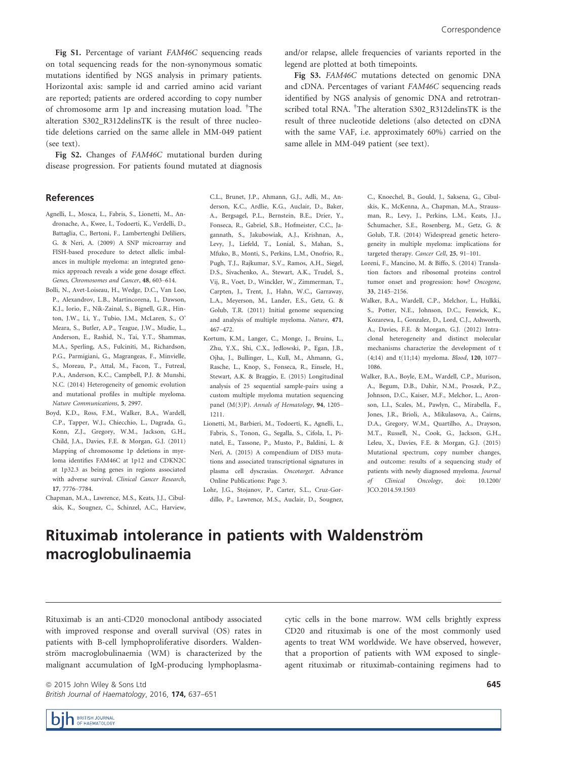Fig S1. Percentage of variant FAM46C sequencing reads on total sequencing reads for the non-synonymous somatic mutations identified by NGS analysis in primary patients. Horizontal axis: sample id and carried amino acid variant are reported; patients are ordered according to copy number of chromosome arm 1p and increasing mutation load. † The alteration S302\_R312delinsTK is the result of three nucleotide deletions carried on the same allele in MM-049 patient (see text).

Fig S2. Changes of FAM46C mutational burden during disease progression. For patients found mutated at diagnosis

### References

- Agnelli, L., Mosca, L., Fabris, S., Lionetti, M., Andronache, A., Kwee, I., Todoerti, K., Verdelli, D., Battaglia, C., Bertoni, F., Lambertenghi Deliliers, G. & Neri, A. (2009) A SNP microarray and FISH-based procedure to detect allelic imbalances in multiple myeloma: an integrated genomics approach reveals a wide gene dosage effect. Genes, Chromosomes and Cancer, 48, 603–614.
- Bolli, N., Avet-Loiseau, H., Wedge, D.C., Van Loo, P., Alexandrov, L.B., Martincorena, I., Dawson, K.J., Iorio, F., Nik-Zainal, S., Bignell, G.R., Hinton, J.W., Li, Y., Tubio, J.M., McLaren, S., O' Meara, S., Butler, A.P., Teague, J.W., Mudie, L., Anderson, E., Rashid, N., Tai, Y.T., Shammas, M.A., Sperling, A.S., Fulciniti, M., Richardson, P.G., Parmigiani, G., Magrangeas, F., Minvielle, S., Moreau, P., Attal, M., Facon, T., Futreal, P.A., Anderson, K.C., Campbell, P.J. & Munshi, N.C. (2014) Heterogeneity of genomic evolution and mutational profiles in multiple myeloma. Nature Communications, 5, 2997.
- Boyd, K.D., Ross, F.M., Walker, B.A., Wardell, C.P., Tapper, W.J., Chiecchio, L., Dagrada, G., Konn, Z.J., Gregory, W.M., Jackson, G.H., Child, J.A., Davies, F.E. & Morgan, G.J. (2011) Mapping of chromosome 1p deletions in myeloma identifies FAM46C at 1p12 and CDKN2C at 1p32.3 as being genes in regions associated with adverse survival. Clinical Cancer Research, 17, 7776–7784.
- Chapman, M.A., Lawrence, M.S., Keats, J.J., Cibulskis, K., Sougnez, C., Schinzel, A.C., Harview,

C.L., Brunet, J.P., Ahmann, G.J., Adli, M., Anderson, K.C., Ardlie, K.G., Auclair, D., Baker, A., Bergsagel, P.L., Bernstein, B.E., Drier, Y., Fonseca, R., Gabriel, S.B., Hofmeister, C.C., Jagannath, S., Jakubowiak, A.J., Krishnan, A., Levy, J., Liefeld, T., Lonial, S., Mahan, S., Mfuko, B., Monti, S., Perkins, L.M., Onofrio, R., Pugh, T.J., Rajkumar, S.V., Ramos, A.H., Siegel, D.S., Sivachenko, A., Stewart, A.K., Trudel, S., Vij, R., Voet, D., Winckler, W., Zimmerman, T., Carpten, J., Trent, J., Hahn, W.C., Garraway, L.A., Meyerson, M., Lander, E.S., Getz, G. & Golub, T.R. (2011) Initial genome sequencing and analysis of multiple myeloma. Nature, 471, 467–472.

- Kortum, K.M., Langer, C., Monge, J., Bruins, L., Zhu, Y.X., Shi, C.X., Jedlowski, P., Egan, J.B., Ojha, J., Bullinger, L., Kull, M., Ahmann, G., Rasche, L., Knop, S., Fonseca, R., Einsele, H., Stewart, A.K. & Braggio, E. (2015) Longitudinal analysis of 25 sequential sample-pairs using a custom multiple myeloma mutation sequencing panel (M(3)P). Annals of Hematology, 94, 1205– 1211.
- Lionetti, M., Barbieri, M., Todoerti, K., Agnelli, L., Fabris, S., Tonon, G., Segalla, S., Cifola, I., Pinatel, E., Tassone, P., Musto, P., Baldini, L. & Neri, A. (2015) A compendium of DIS3 mutations and associated transcriptional signatures in plasma cell dyscrasias. Oncotarget. Advance Online Publications: Page 3.
- Lohr, J.G., Stojanov, P., Carter, S.L., Cruz-Gordillo, P., Lawrence, M.S., Auclair, D., Sougnez,

and/or relapse, allele frequencies of variants reported in the legend are plotted at both timepoints.

Fig S3. FAM46C mutations detected on genomic DNA and cDNA. Percentages of variant FAM46C sequencing reads identified by NGS analysis of genomic DNA and retrotranscribed total RNA. † The alteration S302\_R312delinsTK is the result of three nucleotide deletions (also detected on cDNA with the same VAF, i.e. approximately 60%) carried on the same allele in MM-049 patient (see text).

> C., Knoechel, B., Gould, J., Saksena, G., Cibulskis, K., McKenna, A., Chapman, M.A., Straussman, R., Levy, J., Perkins, L.M., Keats, J.J., Schumacher, S.E., Rosenberg, M., Getz, G. & Golub, T.R. (2014) Widespread genetic heterogeneity in multiple myeloma: implications for targeted therapy. Cancer Cell, 25, 91–101.

- Loreni, F., Mancino, M. & Biffo, S. (2014) Translation factors and ribosomal proteins control tumor onset and progression: how? Oncogene, 33, 2145–2156.
- Walker, B.A., Wardell, C.P., Melchor, L., Hulkki, S., Potter, N.E., Johnson, D.C., Fenwick, K., Kozarewa, I., Gonzalez, D., Lord, C.J., Ashworth, A., Davies, F.E. & Morgan, G.J. (2012) Intraclonal heterogeneity and distinct molecular mechanisms characterize the development of t (4;14) and t(11;14) myeloma. Blood, 120, 1077– 1086.
- Walker, B.A., Boyle, E.M., Wardell, C.P., Murison, A., Begum, D.B., Dahir, N.M., Proszek, P.Z., Johnson, D.C., Kaiser, M.F., Melchor, L., Aronson, L.I., Scales, M., Pawlyn, C., Mirabella, F., Jones, J.R., Brioli, A., Mikulasova, A., Cairns, D.A., Gregory, W.M., Quartilho, A., Drayson, M.T., Russell, N., Cook, G., Jackson, G.H., Leleu, X., Davies, F.E. & Morgan, G.J. (2015) Mutational spectrum, copy number changes, and outcome: results of a sequencing study of patients with newly diagnosed myeloma. Journal of Clinical Oncology, doi: 10.1200/ JCO.2014.59.1503

## Rituximab intolerance in patients with Waldenström macroglobulinaemia

Rituximab is an anti-CD20 monoclonal antibody associated with improved response and overall survival (OS) rates in patients with B-cell lymphoproliferative disorders. Waldenström macroglobulinaemia (WM) is characterized by the malignant accumulation of IgM-producing lymphoplasma-

 $\degree$  2015 John Wiley & Sons Ltd 645 British Journal of Haematology, 2016, 174, 637-651

cytic cells in the bone marrow. WM cells brightly express CD20 and rituximab is one of the most commonly used agents to treat WM worldwide. We have observed, however, that a proportion of patients with WM exposed to singleagent rituximab or rituximab-containing regimens had to

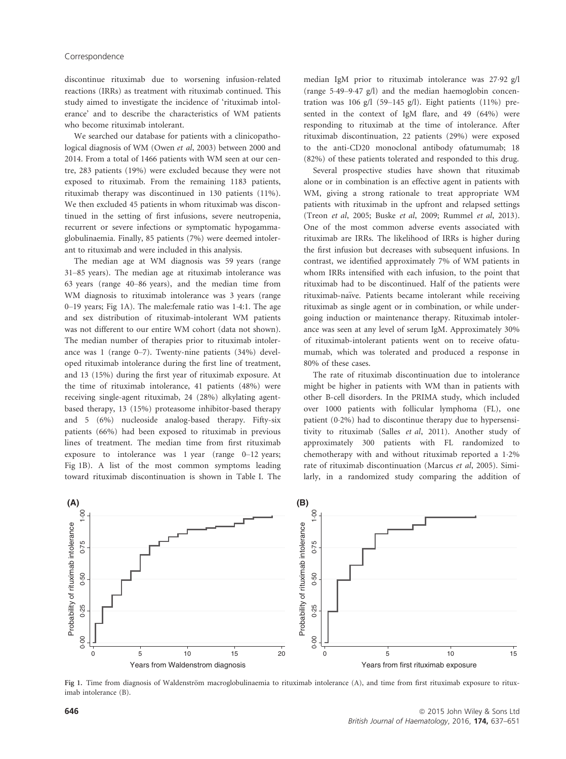#### Correspondence

discontinue rituximab due to worsening infusion-related reactions (IRRs) as treatment with rituximab continued. This study aimed to investigate the incidence of 'rituximab intolerance' and to describe the characteristics of WM patients who become rituximab intolerant.

We searched our database for patients with a clinicopathological diagnosis of WM (Owen et al, 2003) between 2000 and 2014. From a total of 1466 patients with WM seen at our centre, 283 patients (19%) were excluded because they were not exposed to rituximab. From the remaining 1183 patients, rituximab therapy was discontinued in 130 patients (11%). We then excluded 45 patients in whom rituximab was discontinued in the setting of first infusions, severe neutropenia, recurrent or severe infections or symptomatic hypogammaglobulinaemia. Finally, 85 patients (7%) were deemed intolerant to rituximab and were included in this analysis.

The median age at WM diagnosis was 59 years (range 31–85 years). The median age at rituximab intolerance was 63 years (range 40–86 years), and the median time from WM diagnosis to rituximab intolerance was 3 years (range 0–19 years; Fig 1A). The male:female ratio was 14:1. The age and sex distribution of rituximab-intolerant WM patients was not different to our entire WM cohort (data not shown). The median number of therapies prior to rituximab intolerance was 1 (range 0–7). Twenty-nine patients (34%) developed rituximab intolerance during the first line of treatment, and 13 (15%) during the first year of rituximab exposure. At the time of rituximab intolerance, 41 patients (48%) were receiving single-agent rituximab, 24 (28%) alkylating agentbased therapy, 13 (15%) proteasome inhibitor-based therapy and 5 (6%) nucleoside analog-based therapy. Fifty-six patients (66%) had been exposed to rituximab in previous lines of treatment. The median time from first rituximab exposure to intolerance was 1 year (range 0–12 years; Fig 1B). A list of the most common symptoms leading toward rituximab discontinuation is shown in Table I. The median IgM prior to rituximab intolerance was 27.92 g/l (range 549–947 g/l) and the median haemoglobin concentration was 106 g/l (59–145 g/l). Eight patients (11%) presented in the context of IgM flare, and 49 (64%) were responding to rituximab at the time of intolerance. After rituximab discontinuation, 22 patients (29%) were exposed to the anti-CD20 monoclonal antibody ofatumumab; 18 (82%) of these patients tolerated and responded to this drug.

Several prospective studies have shown that rituximab alone or in combination is an effective agent in patients with WM, giving a strong rationale to treat appropriate WM patients with rituximab in the upfront and relapsed settings (Treon et al, 2005; Buske et al, 2009; Rummel et al, 2013). One of the most common adverse events associated with rituximab are IRRs. The likelihood of IRRs is higher during the first infusion but decreases with subsequent infusions. In contrast, we identified approximately 7% of WM patients in whom IRRs intensified with each infusion, to the point that rituximab had to be discontinued. Half of the patients were rituximab-naïve. Patients became intolerant while receiving rituximab as single agent or in combination, or while undergoing induction or maintenance therapy. Rituximab intolerance was seen at any level of serum IgM. Approximately 30% of rituximab-intolerant patients went on to receive ofatumumab, which was tolerated and produced a response in 80% of these cases.

The rate of rituximab discontinuation due to intolerance might be higher in patients with WM than in patients with other B-cell disorders. In the PRIMA study, which included over 1000 patients with follicular lymphoma (FL), one patient (02%) had to discontinue therapy due to hypersensitivity to rituximab (Salles et al, 2011). Another study of approximately 300 patients with FL randomized to chemotherapy with and without rituximab reported a 12% rate of rituximab discontinuation (Marcus et al, 2005). Similarly, in a randomized study comparing the addition of



Fig 1. Time from diagnosis of Waldenström macroglobulinaemia to rituximab intolerance (A), and time from first rituximab exposure to rituximab intolerance (B).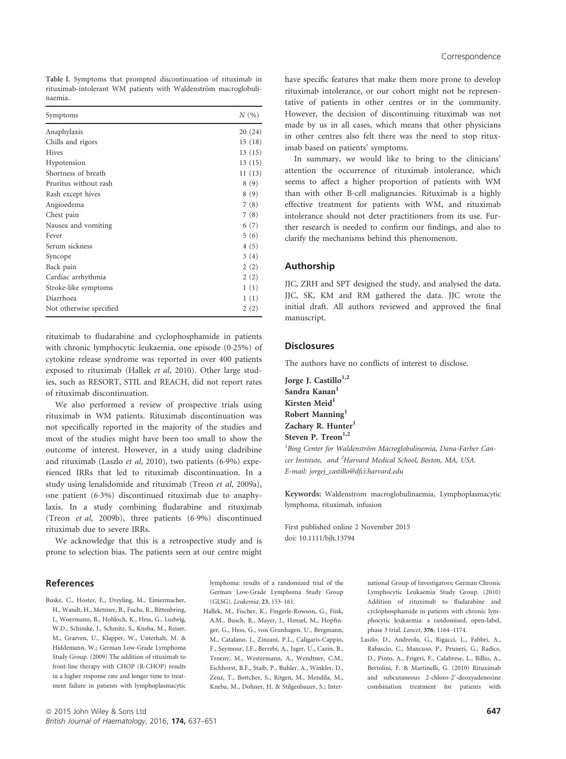Table I. Symptoms that prompted discontinuation of rituximab in rituximab-intolerant WM patients with Waldenström macroglobulinaemia.

| Symptoms                | N(%    |
|-------------------------|--------|
| Anaphylaxis             | 20(24) |
| Chills and rigors       | 15(18) |
| <b>Hives</b>            | 13(15) |
| Hypotension             | 13(15) |
| Shortness of breath     | 11(13) |
| Pruritus without rash   | 8(9)   |
| Rash except hives       | 8 (9)  |
| Angioedema              | 7(8)   |
| Chest pain              | 7(8)   |
| Nausea and vomiting     | 6(7)   |
| Fever                   | 5(6)   |
| Serum sickness          | 4(5)   |
| Syncope                 | 3(4)   |
| Back pain               | 2(2)   |
| Cardiac arrhythmia      | 2(2)   |
| Stroke-like symptoms    | 1(1)   |
| Diarrhoea               | 1(1)   |
| Not otherwise specified | 2(2)   |

rituximab to fludarabine and cyclophosphamide in patients with chronic lymphocytic leukaemia, one episode (0.25%) of cytokine release syndrome was reported in over 400 patients exposed to rituximab (Hallek et al, 2010). Other large studies, such as RESORT, STIL and REACH, did not report rates of rituximab discontinuation.

We also performed a review of prospective trials using rituximab in WM patients. Rituximab discontinuation was not specifically reported in the majority of the studies and most of the studies might have been too small to show the outcome of interest. However, in a study using cladribine and rituximab (Laszlo et al, 2010), two patients  $(6.9\%)$  experienced IRRs that led to rituximab discontinuation. In a study using lenalidomide and rituximab (Treon et al, 2009a), one patient (63%) discontinued rituximab due to anaphylaxis. In a study combining fludarabine and rituximab (Treon et al, 2009b), three patients (69%) discontinued rituximab due to severe IRRs.

We acknowledge that this is a retrospective study and is prone to selection bias. The patients seen at our centre might

#### References

Buske, C., Hoster, E., Dreyling, M., Eimermacher, H., Wandt, H., Metzner, B., Fuchs, R., Bittenbring, J., Woermann, B., Hohloch, K., Hess, G., Ludwig, W.D., Schimke, J., Schmitz, S., Kneba, M., Reiser, M., Graeven, U., Klapper, W., Unterhalt, M. & Hiddemann, W.; German Low-Grade Lymphoma Study Group. (2009) The addition of rituximab to front-line therapy with CHOP (R-CHOP) results in a higher response rate and longer time to treatment failure in patients with lymphoplasmacytic have specific features that make them more prone to develop rituximab intolerance, or our cohort might not be representative of patients in other centres or in the community. However, the decision of discontinuing rituximab was not made by us in all cases, which means that other physicians in other centres also felt there was the need to stop rituximab based on patients' symptoms.

In summary, we would like to bring to the clinicians' attention the occurrence of rituximab intolerance, which seems to affect a higher proportion of patients with WM than with other B-cell malignancies. Rituximab is a highly effective treatment for patients with WM, and rituximab intolerance should not deter practitioners from its use. Further research is needed to confirm our findings, and also to clarify the mechanisms behind this phenomenon.

#### Authorship

JJC, ZRH and SPT designed the study, and analysed the data. JJC, SK, KM and RM gathered the data. JJC wrote the initial draft. All authors reviewed and approved the final manuscript.

#### **Disclosures**

The authors have no conflicts of interest to disclose.

Jorge J. Castillo<sup>1,2</sup> Sandra Kanan<sup>1</sup> Kirsten Meid<sup>1</sup> Robert Manning<sup>1</sup> Zachary R. Hunter<sup>1</sup> Steven P. Treon<sup>1,2</sup>

<sup>1</sup> Bing Center for Waldenström Macroglobulinemia, Dana-Farber Cancer Institute, and <sup>2</sup>Harvard Medical School, Boston, MA, USA. E-mail: jorgej\_castillo@dfci.harvard.edu

Keywords: Waldenstrom macroglobulinaemia, Lymphoplasmacytic lymphoma, rituximab, infusion

First published online 2 November 2015 doi: 10.1111/bjh.13794

lymphoma: results of a randomized trial of the German Low-Grade Lymphoma Study Group (GLSG). Leukemia, 23, 153–161.

Hallek, M., Fischer, K., Fingerle-Rowson, G., Fink, A.M., Busch, R., Mayer, J., Hensel, M., Hopfinger, G., Hess, G., von Grunhagen, U., Bergmann, M., Catalano, J., Zinzani, P.L., Caligaris-Cappio, F., Seymour, J.F., Berrebi, A., Jager, U., Cazin, B., Trneny, M., Westermann, A., Wendtner, C.M., Eichhorst, B.F., Staib, P., Buhler, A., Winkler, D., Zenz, T., Bottcher, S., Ritgen, M., Mendila, M., Kneba, M., Dohner, H. & Stilgenbauer, S.; International Group of Investigators; German Chronic Lymphocytic Leukaemia Study Group. (2010) Addition of rituximab to fludarabine and cyclophosphamide in patients with chronic lymphocytic leukaemia: a randomised, open-label, phase 3 trial. Lancet, 376, 1164–1174.

Laszlo, D., Andreola, G., Rigacci, L., Fabbri, A., Rabascio, C., Mancuso, P., Pruneri, G., Radice, D., Pinto, A., Frigeri, F., Calabrese, L., Billio, A., Bertolini, F. & Martinelli, G. (2010) Rituximab and subcutaneous 2-chloro-2'-deoxyadenosine combination treatment for patients with